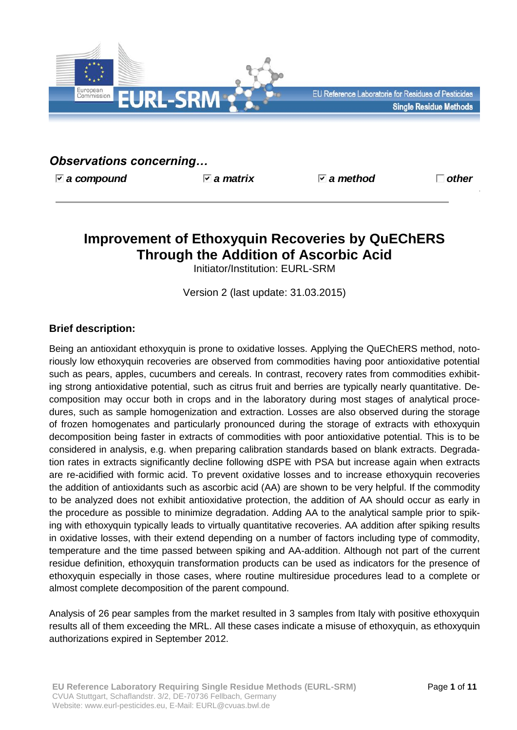

# *Observations concerning…*

*a compound a matrix a method other*

# **Improvement of Ethoxyquin Recoveries by QuEChERS Through the Addition of Ascorbic Acid**

Initiator/Institution: EURL-SRM

Version 2 (last update: 31.03.2015)

# **Brief description:**

Being an antioxidant ethoxyquin is prone to oxidative losses. Applying the QuEChERS method, notoriously low ethoxyquin recoveries are observed from commodities having poor antioxidative potential such as pears, apples, cucumbers and cereals. In contrast, recovery rates from commodities exhibiting strong antioxidative potential, such as citrus fruit and berries are typically nearly quantitative. Decomposition may occur both in crops and in the laboratory during most stages of analytical procedures, such as sample homogenization and extraction. Losses are also observed during the storage of frozen homogenates and particularly pronounced during the storage of extracts with ethoxyquin decomposition being faster in extracts of commodities with poor antioxidative potential. This is to be considered in analysis, e.g. when preparing calibration standards based on blank extracts. Degradation rates in extracts significantly decline following dSPE with PSA but increase again when extracts are re-acidified with formic acid. To prevent oxidative losses and to increase ethoxyquin recoveries the addition of antioxidants such as ascorbic acid (AA) are shown to be very helpful. If the commodity to be analyzed does not exhibit antioxidative protection, the addition of AA should occur as early in the procedure as possible to minimize degradation. Adding AA to the analytical sample prior to spiking with ethoxyquin typically leads to virtually quantitative recoveries. AA addition after spiking results in oxidative losses, with their extend depending on a number of factors including type of commodity, temperature and the time passed between spiking and AA-addition. Although not part of the current residue definition, ethoxyquin transformation products can be used as indicators for the presence of ethoxyquin especially in those cases, where routine multiresidue procedures lead to a complete or almost complete decomposition of the parent compound.

Analysis of 26 pear samples from the market resulted in 3 samples from Italy with positive ethoxyquin results all of them exceeding the MRL. All these cases indicate a misuse of ethoxyquin, as ethoxyquin authorizations expired in September 2012.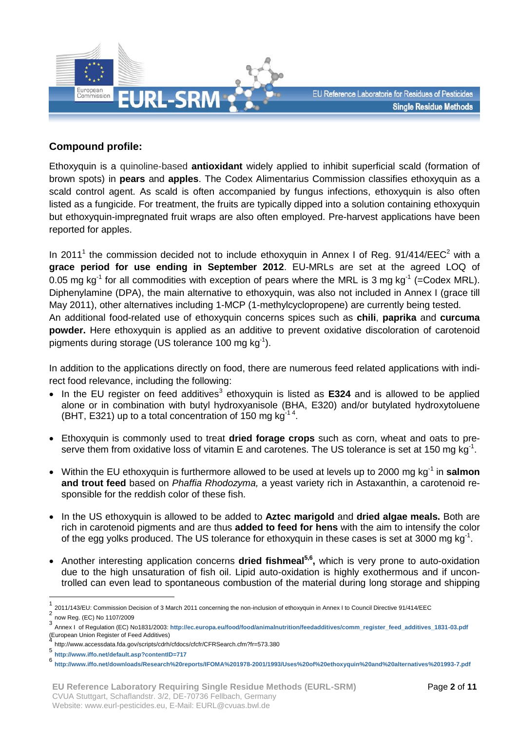

# **Compound profile:**

Ethoxyquin is a quinoline-based **antioxidant** widely applied to inhibit superficial scald (formation of brown spots) in **pears** and **apples**. The Codex Alimentarius Commission classifies ethoxyquin as a scald control agent. As scald is often accompanied by fungus infections, ethoxyquin is also often listed as a fungicide. For treatment, the fruits are typically dipped into a solution containing ethoxyquin but ethoxyquin-impregnated fruit wraps are also often employed. Pre-harvest applications have been reported for apples.

In 2011<sup>1</sup> the commission decided not to include ethoxyquin in Annex I of Reg. 91/414/EEC<sup>2</sup> with a **grace period for use ending in September 2012**. EU-MRLs are set at the agreed LOQ of 0.05 mg kg<sup>-1</sup> for all commodities with exception of pears where the MRL is 3 mg kg<sup>-1</sup> (=Codex MRL). Diphenylamine (DPA), the main alternative to ethoxyquin, was also not included in Annex I (grace till May 2011), other alternatives including 1-MCP (1-methylcyclopropene) are currently being tested. An additional food-related use of ethoxyquin concerns spices such as **chili**, **paprika** and **curcuma powder.** Here ethoxyquin is applied as an additive to prevent oxidative discoloration of carotenoid pigments during storage (US tolerance 100 mg  $kg^{-1}$ ).

In addition to the applications directly on food, there are numerous feed related applications with indirect food relevance, including the following:

- In the EU register on feed additives<sup>3</sup> ethoxyquin is listed as E324 and is allowed to be applied alone or in combination with butyl hydroxyanisole (BHA, E320) and/or butylated hydroxytoluene (BHT, E321) up to a total concentration of 150 mg kg<sup>-14</sup>.
- Ethoxyquin is commonly used to treat **dried forage crops** such as corn, wheat and oats to preserve them from oxidative loss of vitamin E and carotenes. The US tolerance is set at 150 mg kg<sup>-1</sup>.
- Within the EU ethoxyquin is furthermore allowed to be used at levels up to 2000 mg kg<sup>-1</sup> in **salmon and trout feed** based on *Phaffia Rhodozyma,* a yeast variety rich in Astaxanthin, a carotenoid responsible for the reddish color of these fish.
- In the US ethoxyquin is allowed to be added to **Aztec marigold** and **dried algae meals.** Both are rich in carotenoid pigments and are thus **added to feed for hens** with the aim to intensify the color of the egg yolks produced. The US tolerance for ethoxyquin in these cases is set at 3000 mg kg $^{-1}$ .
- Another interesting application concerns **dried fishmeal5,6 ,** which is very prone to auto-oxidation due to the high unsaturation of fish oil. Lipid auto-oxidation is highly exothermous and if uncontrolled can even lead to spontaneous combustion of the material during long storage and shipping

1

<sup>1</sup> 2011/143/EU: Commission Decision of 3 March 2011 concerning the non-inclusion of ethoxyquin in Annex I to Council Directive 91/414/EEC

<sup>2</sup> now Reg. (EC) No 1107/2009

<sup>3</sup> Annex I of Regulation (EC) No1831/2003: **[http://ec.europa.eu/food/food/animalnutrition/feedadditives/comm\\_register\\_feed\\_additives\\_1831-03.pdf](http://ec.europa.eu/food/food/animalnutrition/feedadditives/comm_register_feed_additives_1831-03.pdf)** (European Union Register of Feed Additives)

<sup>4</sup> http://www.accessdata.fda.gov/scripts/cdrh/cfdocs/cfcfr/CFRSearch.cfm?fr=573.380 5

**<http://www.iffo.net/default.asp?contentID=717>**

<sup>6</sup> **<http://www.iffo.net/downloads/Research%20reports/IFOMA%201978-2001/1993/Uses%20of%20ethoxyquin%20and%20alternatives%201993-7.pdf>**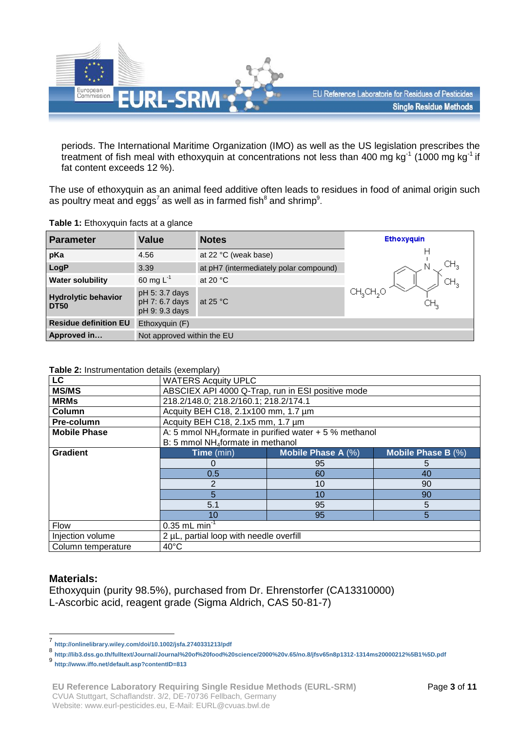

periods. The International Maritime Organization (IMO) as well as the US legislation prescribes the treatment of fish meal with ethoxyquin at concentrations not less than 400 mg kg<sup>-1</sup> (1000 mg kg<sup>-1</sup> if fat content exceeds 12 %).

The use of ethoxyquin as an animal feed additive often leads to residues in food of animal origin such as poultry meat and eggs<sup>7</sup> as well as in farmed fish<sup>8</sup> and shrimp<sup>9</sup>.

| Table 1: Ethoxyquin facts at a glance |  |  |
|---------------------------------------|--|--|
|---------------------------------------|--|--|

| <b>Parameter</b>                          | <b>Value</b>                                       | <b>Notes</b>                           | <b>Ethoxyquin</b>    |
|-------------------------------------------|----------------------------------------------------|----------------------------------------|----------------------|
| pKa                                       | 4.56                                               | at 22 °C (weak base)                   |                      |
| LogP                                      | 3.39                                               | at pH7 (intermediately polar compound) | CH,                  |
| <b>Water solubility</b>                   | 60 mg $L^{-1}$                                     | at 20 $\degree$ C                      |                      |
| <b>Hydrolytic behavior</b><br><b>DT50</b> | pH 5: 3.7 days<br>pH 7: 6.7 days<br>pH 9: 9.3 days | at 25 $\degree$ C                      | CH3CH <sub>2</sub> O |
| <b>Residue definition EU</b>              | Ethoxyquin $(F)$                                   |                                        |                      |
| Approved in                               | Not approved within the EU                         |                                        |                      |

**Table 2:** Instrumentation details (exemplary)

| <b>LC</b>           | <b>WATERS Acquity UPLC</b>                                          |                    |                       |  |
|---------------------|---------------------------------------------------------------------|--------------------|-----------------------|--|
| <b>MS/MS</b>        | ABSCIEX API 4000 Q-Trap, run in ESI positive mode                   |                    |                       |  |
| <b>MRMs</b>         | 218.2/148.0; 218.2/160.1; 218.2/174.1                               |                    |                       |  |
| Column              | Acquity BEH C18, 2.1x100 mm, 1.7 um                                 |                    |                       |  |
| Pre-column          | Acquity BEH C18, 2.1x5 mm, 1.7 um                                   |                    |                       |  |
| <b>Mobile Phase</b> | A: 5 mmol NH <sub>4</sub> formate in purified water $+5$ % methanol |                    |                       |  |
|                     | B: 5 mmol NH <sub>4</sub> formate in methanol                       |                    |                       |  |
| <b>Gradient</b>     | Time (min)                                                          | Mobile Phase A (%) | Mobile Phase B $(\%)$ |  |
|                     | O                                                                   | 95                 | 5                     |  |
|                     | 0.5                                                                 | 60                 | 40                    |  |
|                     | 2<br>10<br>90                                                       |                    |                       |  |
|                     | 5<br>10<br>90                                                       |                    |                       |  |
|                     | 5.1<br>95<br>5                                                      |                    |                       |  |
|                     | 10                                                                  | 95                 | 5                     |  |
| <b>Flow</b>         | $0.35$ mL min <sup>-1</sup>                                         |                    |                       |  |
| Injection volume    | 2 µL, partial loop with needle overfill                             |                    |                       |  |
| Column temperature  | $40^{\circ}$ C                                                      |                    |                       |  |

### **Materials:**

1

Ethoxyquin (purity 98.5%), purchased from Dr. Ehrenstorfer (CA13310000) L-Ascorbic acid, reagent grade (Sigma Aldrich, CAS 50-81-7)

<sup>7</sup> **<http://onlinelibrary.wiley.com/doi/10.1002/jsfa.2740331213/pdf>**

<sup>8</sup> **<http://lib3.dss.go.th/fulltext/Journal/Journal%20of%20food%20science/2000%20v.65/no.8/jfsv65n8p1312-1314ms20000212%5B1%5D.pdf>**

<sup>9</sup> **<http://www.iffo.net/default.asp?contentID=813>**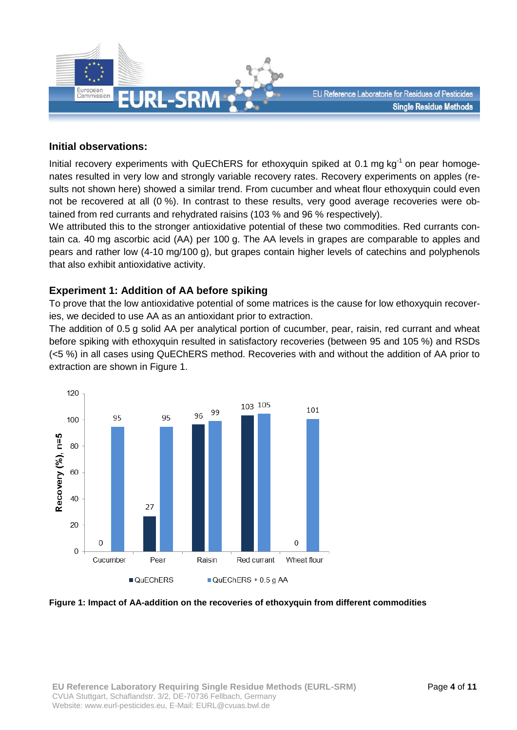

### **Initial observations:**

Initial recovery experiments with QuEChERS for ethoxyquin spiked at 0.1 mg kg<sup>-1</sup> on pear homogenates resulted in very low and strongly variable recovery rates. Recovery experiments on apples (results not shown here) showed a similar trend. From cucumber and wheat flour ethoxyquin could even not be recovered at all (0 %). In contrast to these results, very good average recoveries were obtained from red currants and rehydrated raisins (103 % and 96 % respectively).

We attributed this to the stronger antioxidative potential of these two commodities. Red currants contain ca. 40 mg ascorbic acid (AA) per 100 g. The AA levels in grapes are comparable to apples and pears and rather low (4-10 mg/100 g), but grapes contain higher levels of catechins and polyphenols that also exhibit antioxidative activity.

### **Experiment 1: Addition of AA before spiking**

To prove that the low antioxidative potential of some matrices is the cause for low ethoxyquin recoveries, we decided to use AA as an antioxidant prior to extraction.

The addition of 0.5 g solid AA per analytical portion of cucumber, pear, raisin, red currant and wheat before spiking with ethoxyquin resulted in satisfactory recoveries (between 95 and 105 %) and RSDs (<5 %) in all cases using QuEChERS method. Recoveries with and without the addition of AA prior to extraction are shown in Figure 1.



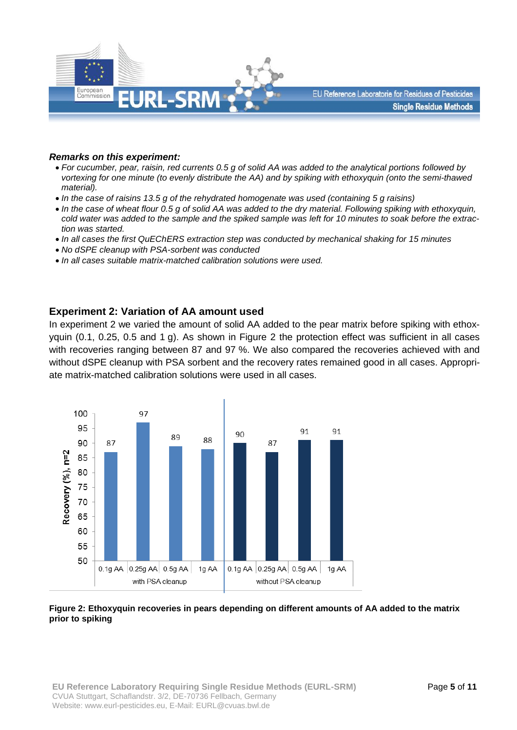

#### *Remarks on this experiment:*

- *For cucumber, pear, raisin, red currents 0.5 g of solid AA was added to the analytical portions followed by vortexing for one minute (to evenly distribute the AA) and by spiking with ethoxyquin (onto the semi-thawed material).*
- *In the case of raisins 13.5 g of the rehydrated homogenate was used (containing 5 g raisins)*
- *In the case of wheat flour 0.5 g of solid AA was added to the dry material. Following spiking with ethoxyquin, cold water was added to the sample and the spiked sample was left for 10 minutes to soak before the extraction was started.*
- *In all cases the first QuEChERS extraction step was conducted by mechanical shaking for 15 minutes*
- *No dSPE cleanup with PSA-sorbent was conducted*
- *In all cases suitable matrix-matched calibration solutions were used.*

### **Experiment 2: Variation of AA amount used**

In experiment 2 we varied the amount of solid AA added to the pear matrix before spiking with ethoxyquin (0.1, 0.25, 0.5 and 1 g). As shown in Figure 2 the protection effect was sufficient in all cases with recoveries ranging between 87 and 97 %. We also compared the recoveries achieved with and without dSPE cleanup with PSA sorbent and the recovery rates remained good in all cases. Appropriate matrix-matched calibration solutions were used in all cases.



#### **Figure 2: Ethoxyquin recoveries in pears depending on different amounts of AA added to the matrix prior to spiking**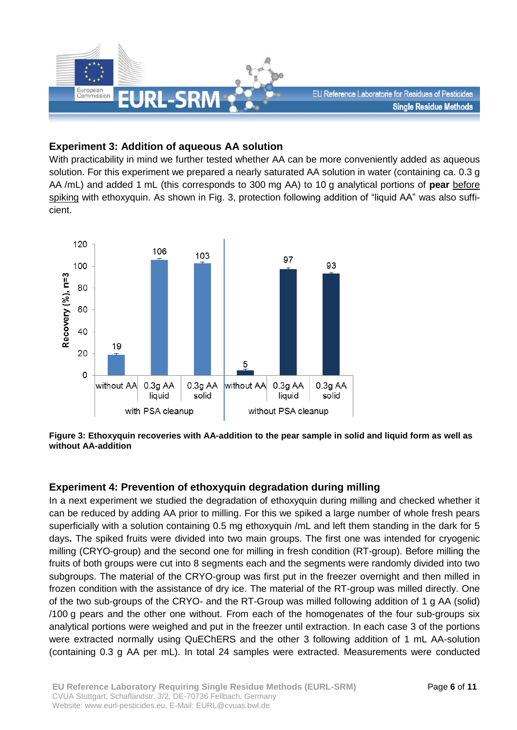

## **Experiment 3: Addition of aqueous AA solution**

With practicability in mind we further tested whether AA can be more conveniently added as aqueous solution. For this experiment we prepared a nearly saturated AA solution in water (containing ca. 0.3 g AA /mL) and added 1 mL (this corresponds to 300 mg AA) to 10 g analytical portions of **pear** before spiking with ethoxyquin. As shown in Fig. 3, protection following addition of "liquid AA" was also sufficient.



**Figure 3: Ethoxyquin recoveries with AA-addition to the pear sample in solid and liquid form as well as without AA-addition**

### **Experiment 4: Prevention of ethoxyquin degradation during milling**

In a next experiment we studied the degradation of ethoxyquin during milling and checked whether it can be reduced by adding AA prior to milling. For this we spiked a large number of whole fresh pears superficially with a solution containing 0.5 mg ethoxyquin /mL and left them standing in the dark for 5 days**.** The spiked fruits were divided into two main groups. The first one was intended for cryogenic milling (CRYO-group) and the second one for milling in fresh condition (RT-group). Before milling the fruits of both groups were cut into 8 segments each and the segments were randomly divided into two subgroups. The material of the CRYO-group was first put in the freezer overnight and then milled in frozen condition with the assistance of dry ice. The material of the RT-group was milled directly. One of the two sub-groups of the CRYO- and the RT-Group was milled following addition of 1 g AA (solid) /100 g pears and the other one without. From each of the homogenates of the four sub-groups six analytical portions were weighed and put in the freezer until extraction. In each case 3 of the portions were extracted normally using QuEChERS and the other 3 following addition of 1 mL AA-solution (containing 0.3 g AA per mL). In total 24 samples were extracted. Measurements were conducted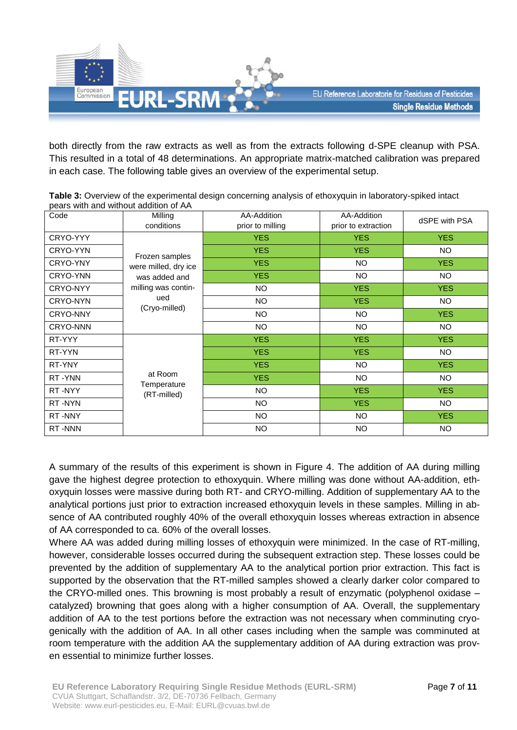

both directly from the raw extracts as well as from the extracts following d-SPE cleanup with PSA. This resulted in a total of 48 determinations. An appropriate matrix-matched calibration was prepared in each case. The following table gives an overview of the experimental setup.

| Code     | Milling                                                 | AA-Addition      | AA-Addition         | dSPE with PSA |
|----------|---------------------------------------------------------|------------------|---------------------|---------------|
|          | conditions                                              | prior to milling | prior to extraction |               |
| CRYO-YYY | Frozen samples<br>were milled, dry ice<br>was added and | <b>YES</b>       | <b>YES</b>          | <b>YES</b>    |
| CRYO-YYN |                                                         | <b>YES</b>       | <b>YES</b>          | <b>NO</b>     |
| CRYO-YNY |                                                         | <b>YES</b>       | <b>NO</b>           | <b>YES</b>    |
| CRYO-YNN |                                                         | <b>YES</b>       | <b>NO</b>           | <b>NO</b>     |
| CRYO-NYY | milling was contin-                                     | <b>NO</b>        | <b>YES</b>          | <b>YES</b>    |
| CRYO-NYN | ued<br>(Cryo-milled)                                    | <b>NO</b>        | <b>YES</b>          | <b>NO</b>     |
| CRYO-NNY |                                                         | <b>NO</b>        | NO                  | <b>YES</b>    |
| CRYO-NNN |                                                         | <b>NO</b>        | <b>NO</b>           | <b>NO</b>     |
| RT-YYY   | at Room<br>Temperature<br>(RT-milled)                   | <b>YES</b>       | <b>YES</b>          | <b>YES</b>    |
| RT-YYN   |                                                         | <b>YES</b>       | <b>YES</b>          | <b>NO</b>     |
| RT-YNY   |                                                         | <b>YES</b>       | <b>NO</b>           | <b>YES</b>    |
| RT-YNN   |                                                         | <b>YES</b>       | NO                  | <b>NO</b>     |
| RT-NYY   |                                                         | <b>NO</b>        | <b>YES</b>          | <b>YES</b>    |
| RT-NYN   |                                                         | <b>NO</b>        | <b>YES</b>          | <b>NO</b>     |
| RT-NNY   |                                                         | <b>NO</b>        | NO                  | <b>YES</b>    |
| RT-NNN   |                                                         | <b>NO</b>        | <b>NO</b>           | <b>NO</b>     |

**Table 3:** Overview of the experimental design concerning analysis of ethoxyquin in laboratory-spiked intact pears with and without addition of AA

A summary of the results of this experiment is shown in Figure 4. The addition of AA during milling gave the highest degree protection to ethoxyquin. Where milling was done without AA-addition, ethoxyquin losses were massive during both RT- and CRYO-milling. Addition of supplementary AA to the analytical portions just prior to extraction increased ethoxyquin levels in these samples. Milling in absence of AA contributed roughly 40% of the overall ethoxyquin losses whereas extraction in absence of AA corresponded to ca. 60% of the overall losses.

Where AA was added during milling losses of ethoxyquin were minimized. In the case of RT-milling, however, considerable losses occurred during the subsequent extraction step. These losses could be prevented by the addition of supplementary AA to the analytical portion prior extraction. This fact is supported by the observation that the RT-milled samples showed a clearly darker color compared to the CRYO-milled ones. This browning is most probably a result of enzymatic (polyphenol oxidase – catalyzed) browning that goes along with a higher consumption of AA. Overall, the supplementary addition of AA to the test portions before the extraction was not necessary when comminuting cryogenically with the addition of AA. In all other cases including when the sample was comminuted at room temperature with the addition AA the supplementary addition of AA during extraction was proven essential to minimize further losses.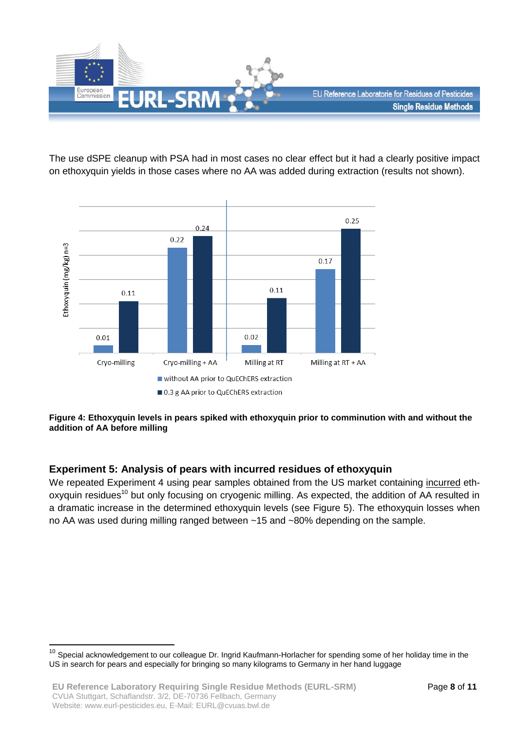

The use dSPE cleanup with PSA had in most cases no clear effect but it had a clearly positive impact on ethoxyquin yields in those cases where no AA was added during extraction (results not shown).



### **Figure 4: Ethoxyquin levels in pears spiked with ethoxyquin prior to comminution with and without the addition of AA before milling**

# **Experiment 5: Analysis of pears with incurred residues of ethoxyquin**

We repeated Experiment 4 using pear samples obtained from the US market containing incurred ethoxyquin residues<sup>10</sup> but only focusing on cryogenic milling. As expected, the addition of AA resulted in a dramatic increase in the determined ethoxyquin levels (see Figure 5). The ethoxyquin losses when no AA was used during milling ranged between ~15 and ~80% depending on the sample.

1

<sup>&</sup>lt;sup>10</sup> Special acknowledgement to our colleague Dr. Ingrid Kaufmann-Horlacher for spending some of her holiday time in the US in search for pears and especially for bringing so many kilograms to Germany in her hand luggage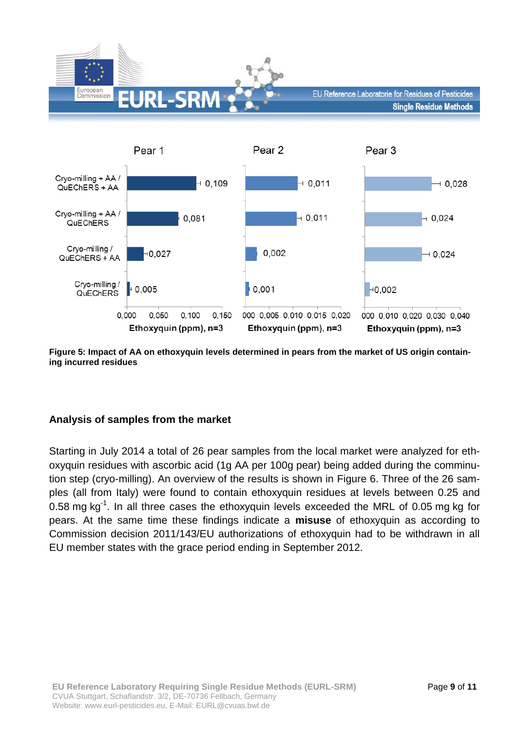



**Figure 5: Impact of AA on ethoxyquin levels determined in pears from the market of US origin containing incurred residues** 

# **Analysis of samples from the market**

Starting in July 2014 a total of 26 pear samples from the local market were analyzed for ethoxyquin residues with ascorbic acid (1g AA per 100g pear) being added during the comminution step (cryo-milling). An overview of the results is shown in Figure 6. Three of the 26 samples (all from Italy) were found to contain ethoxyquin residues at levels between 0.25 and 0.58 mg kg<sup>-1</sup>. In all three cases the ethoxyquin levels exceeded the MRL of 0.05 mg kg for pears. At the same time these findings indicate a **misuse** of ethoxyquin as according to Commission decision 2011/143/EU authorizations of ethoxyquin had to be withdrawn in all EU member states with the grace period ending in September 2012.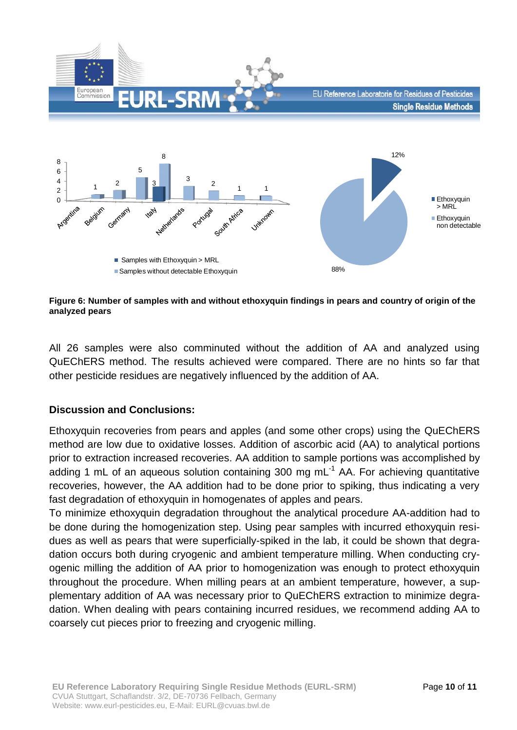

**Figure 6: Number of samples with and without ethoxyquin findings in pears and country of origin of the analyzed pears** 

All 26 samples were also comminuted without the addition of AA and analyzed using QuEChERS method. The results achieved were compared. There are no hints so far that other pesticide residues are negatively influenced by the addition of AA.

### **Discussion and Conclusions:**

Ethoxyquin recoveries from pears and apples (and some other crops) using the QuEChERS method are low due to oxidative losses. Addition of ascorbic acid (AA) to analytical portions prior to extraction increased recoveries. AA addition to sample portions was accomplished by adding 1 mL of an aqueous solution containing 300 mg mL $<sup>-1</sup>$  AA. For achieving quantitative</sup> recoveries, however, the AA addition had to be done prior to spiking, thus indicating a very fast degradation of ethoxyquin in homogenates of apples and pears.

To minimize ethoxyquin degradation throughout the analytical procedure AA-addition had to be done during the homogenization step. Using pear samples with incurred ethoxyquin residues as well as pears that were superficially-spiked in the lab, it could be shown that degradation occurs both during cryogenic and ambient temperature milling. When conducting cryogenic milling the addition of AA prior to homogenization was enough to protect ethoxyquin throughout the procedure. When milling pears at an ambient temperature, however, a supplementary addition of AA was necessary prior to QuEChERS extraction to minimize degradation. When dealing with pears containing incurred residues, we recommend adding AA to coarsely cut pieces prior to freezing and cryogenic milling.